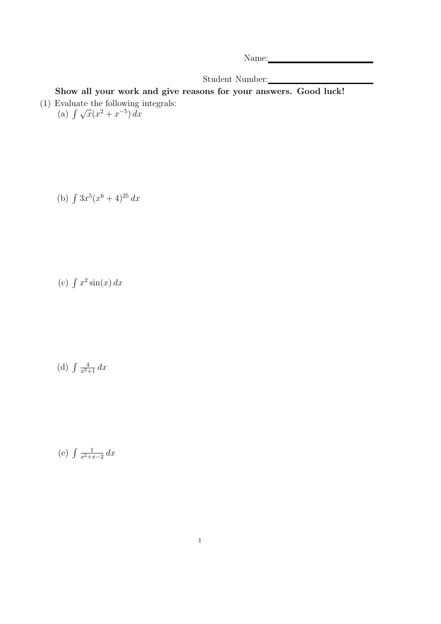Name: Name and the set of the set of the set of the set of the set of the set of the set of the set of the set of the set of the set of the set of the set of the set of the set of the set of the set of the set of the set o

Student Number:

Show all your work and give reasons for your answers. Good luck! (1) Evaluate the following integrals:<br>
(a)  $\int \sqrt{x}(x^2 + x^{-5}) dx$ 

(b)  $\int 3x^5(x^6+4)^{25} dx$ 

(c)  $\int x^2 \sin(x) dx$ 

(d)  $\int \frac{4}{x^2+1} dx$ 

(e)  $\int \frac{1}{x^2+x^2}$  $\frac{1}{x^2+x-2} dx$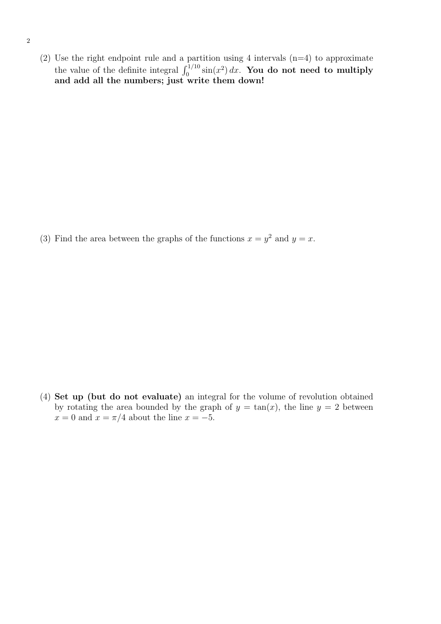(2) Use the right endpoint rule and a partition using 4 intervals  $(n=4)$  to approximate the value of the definite integral  $\int_0^{1/10} \sin(x^2) dx$ . You do not need to multiply and add all the numbers; just write them down!

(3) Find the area between the graphs of the functions  $x = y^2$  and  $y = x$ .

(4) Set up (but do not evaluate) an integral for the volume of revolution obtained by rotating the area bounded by the graph of  $y = \tan(x)$ , the line  $y = 2$  between  $x = 0$  and  $x = \pi/4$  about the line  $x = -5$ .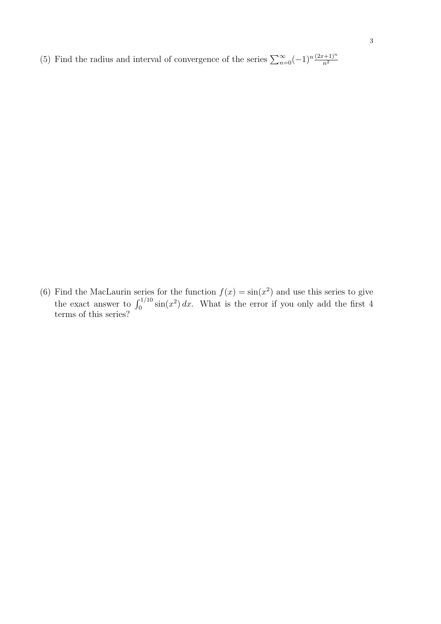(5) Find the radius and interval of convergence of the series  $\sum_{n=0}^{\infty}(-1)^n\frac{(2x+1)^n}{n^2}$ 

(6) Find the MacLaurin series for the function  $f(x) = \sin(x^2)$  and use this series to give the exact answer to  $\int_0^{1/10} \sin(x^2) dx$ . What is the error if you only add the first 4 terms of this series?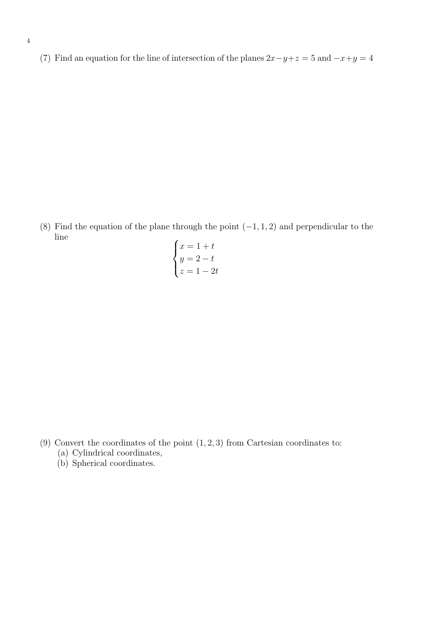(7) Find an equation for the line of intersection of the planes  $2x-y+z=5$  and  $-x+y=4$ 

(8) Find the equation of the plane through the point  $(-1, 1, 2)$  and perpendicular to the line  $\overline{ }$ 

$$
\begin{cases}\nx = 1 + t \\
y = 2 - t \\
z = 1 - 2t\n\end{cases}
$$

- (9) Convert the coordinates of the point  $(1, 2, 3)$  from Cartesian coordinates to:
	- (a) Cylindrical coordinates,
	- (b) Spherical coordinates.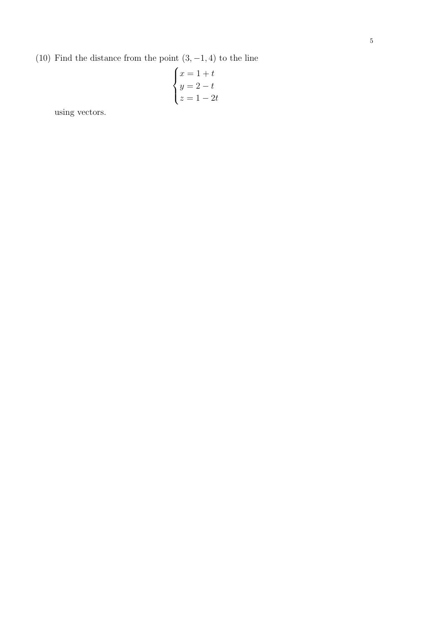(10) Find the distance from the point  $(3, -1, 4)$  to the line

$$
\begin{cases}\nx = 1 + t \\
y = 2 - t \\
z = 1 - 2t\n\end{cases}
$$

using vectors.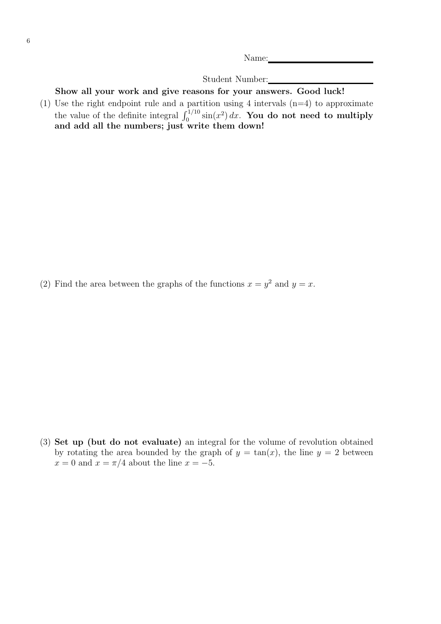Name:

Student Number:

Show all your work and give reasons for your answers. Good luck!

(1) Use the right endpoint rule and a partition using 4 intervals  $(n=4)$  to approximate the value of the definite integral  $\int_0^{1/10} \sin(x^2) dx$ . You do not need to multiply and add all the numbers; just write them down!

(2) Find the area between the graphs of the functions  $x = y^2$  and  $y = x$ .

(3) Set up (but do not evaluate) an integral for the volume of revolution obtained by rotating the area bounded by the graph of  $y = \tan(x)$ , the line  $y = 2$  between  $x = 0$  and  $x = \pi/4$  about the line  $x = -5$ .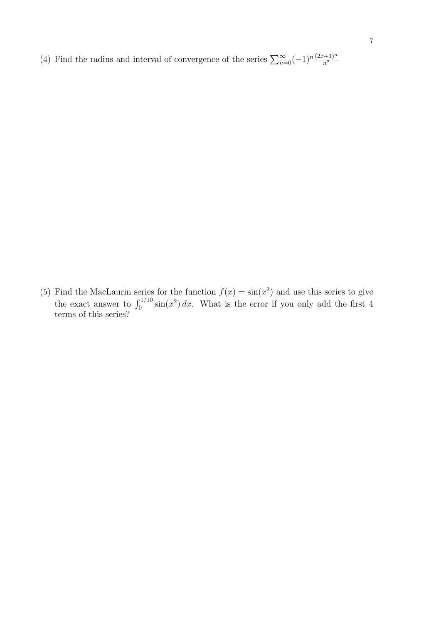(4) Find the radius and interval of convergence of the series  $\sum_{n=0}^{\infty}(-1)^n\frac{(2x+1)^n}{n^2}$ 

(5) Find the MacLaurin series for the function  $f(x) = \sin(x^2)$  and use this series to give the exact answer to  $\int_0^{1/10} \sin(x^2) dx$ . What is the error if you only add the first 4 terms of this series?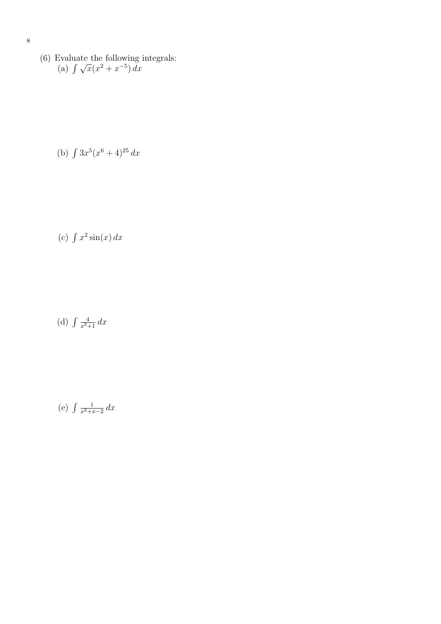(6) Evaluate the following integrals:<br>
(a)  $\int \sqrt{x}(x^2 + x^{-5}) dx$ 

(b) 
$$
\int 3x^5(x^6+4)^{25} dx
$$

(c)  $\int x^2 \sin(x) dx$ 

(d)  $\int \frac{4}{x^2+1} dx$ 

(e)  $\int \frac{1}{x^2+x^2}$  $rac{1}{x^2+x-2}$  dx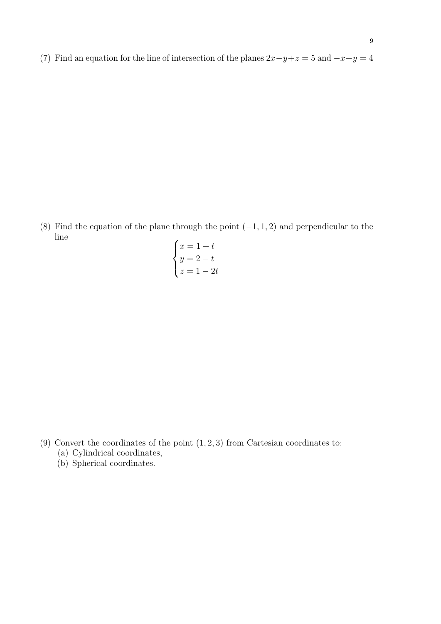(7) Find an equation for the line of intersection of the planes  $2x-y+z=5$  and  $-x+y=4$ 

(8) Find the equation of the plane through the point  $(-1, 1, 2)$  and perpendicular to the line  $\overline{ }$ 

$$
\begin{cases}\nx = 1 + t \\
y = 2 - t \\
z = 1 - 2t\n\end{cases}
$$

- (9) Convert the coordinates of the point  $(1, 2, 3)$  from Cartesian coordinates to:
	- (a) Cylindrical coordinates,
	- (b) Spherical coordinates.